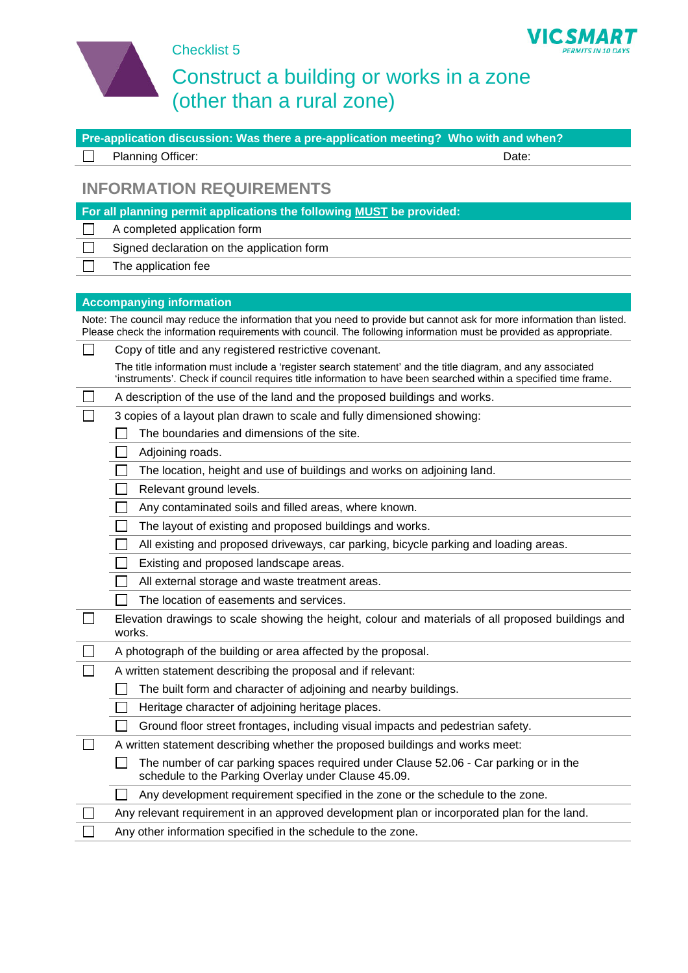

Checklist 5

## Construct a building or works in a zone (other than a rural zone)

**PERMITS IN 10 DAYS** 

| Pre-application discussion: Was there a pre-application meeting? Who with and when?                                                                                                                                                          |
|----------------------------------------------------------------------------------------------------------------------------------------------------------------------------------------------------------------------------------------------|
| Planning Officer:<br>Date:                                                                                                                                                                                                                   |
| <b>INFORMATION REQUIREMENTS</b>                                                                                                                                                                                                              |
| For all planning permit applications the following MUST be provided:                                                                                                                                                                         |
| A completed application form                                                                                                                                                                                                                 |
| Signed declaration on the application form                                                                                                                                                                                                   |
| The application fee                                                                                                                                                                                                                          |
|                                                                                                                                                                                                                                              |
| <b>Accompanying information</b>                                                                                                                                                                                                              |
| Note: The council may reduce the information that you need to provide but cannot ask for more information than listed.<br>Please check the information requirements with council. The following information must be provided as appropriate. |
| Copy of title and any registered restrictive covenant.                                                                                                                                                                                       |
| The title information must include a 'register search statement' and the title diagram, and any associated<br>'instruments'. Check if council requires title information to have been searched within a specified time frame.                |
| A description of the use of the land and the proposed buildings and works.                                                                                                                                                                   |
| 3 copies of a layout plan drawn to scale and fully dimensioned showing:                                                                                                                                                                      |
| The boundaries and dimensions of the site.                                                                                                                                                                                                   |
| Adjoining roads.<br>$\Box$                                                                                                                                                                                                                   |
| The location, height and use of buildings and works on adjoining land.                                                                                                                                                                       |
| Relevant ground levels.<br>$\Box$                                                                                                                                                                                                            |
| Any contaminated soils and filled areas, where known.<br>$\Box$                                                                                                                                                                              |
| The layout of existing and proposed buildings and works.                                                                                                                                                                                     |
| All existing and proposed driveways, car parking, bicycle parking and loading areas.<br>$\mathcal{L}$                                                                                                                                        |
| Existing and proposed landscape areas.                                                                                                                                                                                                       |
| All external storage and waste treatment areas.                                                                                                                                                                                              |
| The location of easements and services.                                                                                                                                                                                                      |
| Elevation drawings to scale showing the height, colour and materials of all proposed buildings and<br>works.                                                                                                                                 |
| A photograph of the building or area affected by the proposal.                                                                                                                                                                               |
| A written statement describing the proposal and if relevant:                                                                                                                                                                                 |
| The built form and character of adjoining and nearby buildings.                                                                                                                                                                              |
| Heritage character of adjoining heritage places.                                                                                                                                                                                             |
| Ground floor street frontages, including visual impacts and pedestrian safety.                                                                                                                                                               |
| A written statement describing whether the proposed buildings and works meet:                                                                                                                                                                |
| The number of car parking spaces required under Clause 52.06 - Car parking or in the<br>schedule to the Parking Overlay under Clause 45.09.                                                                                                  |
| Any development requirement specified in the zone or the schedule to the zone.                                                                                                                                                               |
| Any relevant requirement in an approved development plan or incorporated plan for the land.                                                                                                                                                  |
| Any other information specified in the schedule to the zone.                                                                                                                                                                                 |